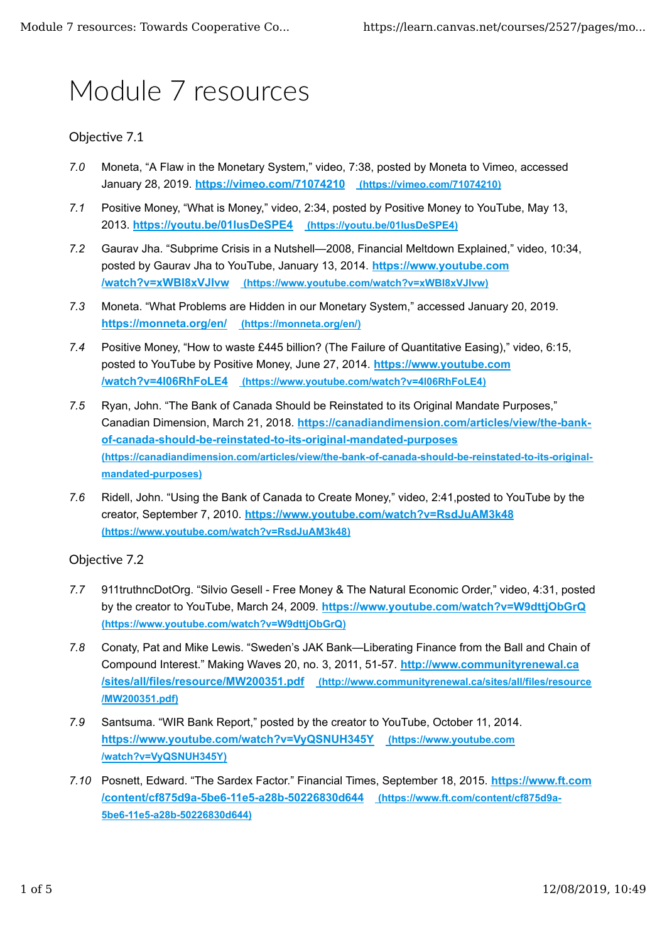# Module 7 resources

## Objective 7.1

- *7.0* Moneta, "A Flaw in the Monetary System," video, 7:38, posted by Moneta to Vimeo, accessed January 28, 2019. **https://vimeo.com/71074210 (https://vimeo.com/71074210)**
- *7.1* Positive Money, "What is Money," video, 2:34, posted by Positive Money to YouTube, May 13, 2013. **https://youtu.be/01IusDeSPE4 (https://youtu.be/01IusDeSPE4)**
- *7.2* Gaurav Jha. "Subprime Crisis in a Nutshell—2008, Financial Meltdown Explained," video, 10:34, posted by Gaurav Jha to YouTube, January 13, 2014. **https://www.youtube.com /watch?v=xWBI8xVJIvw (https://www.youtube.com/watch?v=xWBI8xVJIvw)**
- *7.3* Moneta. "What Problems are Hidden in our Monetary System," accessed January 20, 2019. **https://monneta.org/en/ (https://monneta.org/en/)**
- *7.4* Positive Money, "How to waste £445 billion? (The Failure of Quantitative Easing)," video, 6:15, posted to YouTube by Positive Money, June 27, 2014. **https://www.youtube.com /watch?v=4l06RhFoLE4 (https://www.youtube.com/watch?v=4l06RhFoLE4)**
- *7.5* Ryan, John. "The Bank of Canada Should be Reinstated to its Original Mandate Purposes," Canadian Dimension, March 21, 2018. **https://canadiandimension.com/articles/view/the-bankof-canada-should-be-reinstated-to-its-original-mandated-purposes (https://canadiandimension.com/articles/view/the-bank-of-canada-should-be-reinstated-to-its-originalmandated-purposes)**
- *7.6* Ridell, John. "Using the Bank of Canada to Create Money," video, 2:41,posted to YouTube by the creator, September 7, 2010. **https://www.youtube.com/watch?v=RsdJuAM3k48 (https://www.youtube.com/watch?v=RsdJuAM3k48)**

### Objective 7.2

- *7.7* 911truthncDotOrg. "Silvio Gesell Free Money & The Natural Economic Order," video, 4:31, posted by the creator to YouTube, March 24, 2009. **https://www.youtube.com/watch?v=W9dttjObGrQ (https://www.youtube.com/watch?v=W9dttjObGrQ)**
- *7.8* Conaty, Pat and Mike Lewis. "Sweden's JAK Bank—Liberating Finance from the Ball and Chain of Compound Interest." Making Waves 20, no. 3, 2011, 51-57. **http://www.communityrenewal.ca /sites/all/files/resource/MW200351.pdf (http://www.communityrenewal.ca/sites/all/files/resource /MW200351.pdf)**
- *7.9* Santsuma. "WIR Bank Report," posted by the creator to YouTube, October 11, 2014. **https://www.youtube.com/watch?v=VyQSNUH345Y (https://www.youtube.com /watch?v=VyQSNUH345Y)**
- *7.10* Posnett, Edward. "The Sardex Factor." Financial Times, September 18, 2015. **https://www.ft.com /content/cf875d9a-5be6-11e5-a28b-50226830d644 (https://www.ft.com/content/cf875d9a-5be6-11e5-a28b-50226830d644)**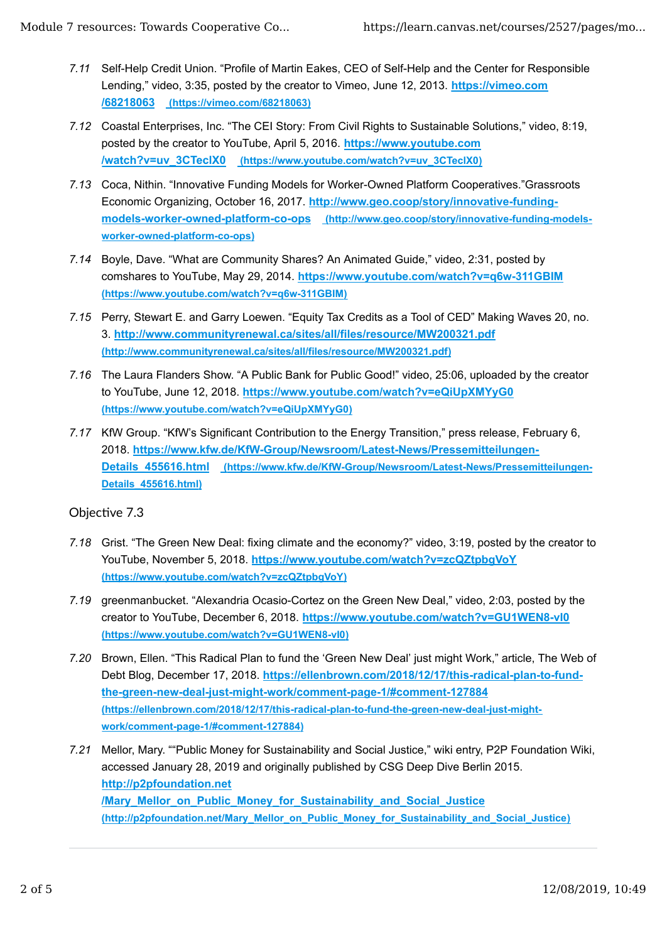- *7.11* Self-Help Credit Union. "Profile of Martin Eakes, CEO of Self-Help and the Center for Responsible Lending," video, 3:35, posted by the creator to Vimeo, June 12, 2013. **https://vimeo.com /68218063 (https://vimeo.com/68218063)**
- *7.12* Coastal Enterprises, Inc. "The CEI Story: From Civil Rights to Sustainable Solutions," video, 8:19, posted by the creator to YouTube, April 5, 2016. **https://www.youtube.com /watch?v=uv\_3CTeclX0 (https://www.youtube.com/watch?v=uv\_3CTeclX0)**
- *7.13* Coca, Nithin. "Innovative Funding Models for Worker-Owned Platform Cooperatives."Grassroots Economic Organizing, October 16, 2017. **http://www.geo.coop/story/innovative-fundingmodels-worker-owned-platform-co-ops (http://www.geo.coop/story/innovative-funding-modelsworker-owned-platform-co-ops)**
- *7.14* Boyle, Dave. "What are Community Shares? An Animated Guide," video, 2:31, posted by comshares to YouTube, May 29, 2014. **https://www.youtube.com/watch?v=q6w-311GBIM (https://www.youtube.com/watch?v=q6w-311GBIM)**
- *7.15* Perry, Stewart E. and Garry Loewen. "Equity Tax Credits as a Tool of CED" Making Waves 20, no. 3. **http://www.communityrenewal.ca/sites/all/files/resource/MW200321.pdf (http://www.communityrenewal.ca/sites/all/files/resource/MW200321.pdf)**
- *7.16* The Laura Flanders Show. "A Public Bank for Public Good!" video, 25:06, uploaded by the creator to YouTube, June 12, 2018. **https://www.youtube.com/watch?v=eQiUpXMYyG0 (https://www.youtube.com/watch?v=eQiUpXMYyG0)**
- *7.17* KfW Group. "KfW's Significant Contribution to the Energy Transition," press release, February 6, 2018. **https://www.kfw.de/KfW-Group/Newsroom/Latest-News/Pressemitteilungen-**Details 455616.html (https://www.kfw.de/KfW-Group/Newsroom/Latest-News/Pressemitteilungen-**Details\_455616.html)**

## Objective 7.3

- *7.18* Grist. "The Green New Deal: fixing climate and the economy?" video, 3:19, posted by the creator to YouTube, November 5, 2018. **https://www.youtube.com/watch?v=zcQZtpbgVoY (https://www.youtube.com/watch?v=zcQZtpbgVoY)**
- *7.19* greenmanbucket. "Alexandria Ocasio-Cortez on the Green New Deal," video, 2:03, posted by the creator to YouTube, December 6, 2018. **https://www.youtube.com/watch?v=GU1WEN8-vI0 (https://www.youtube.com/watch?v=GU1WEN8-vI0)**
- *7.20* Brown, Ellen. "This Radical Plan to fund the 'Green New Deal' just might Work," article, The Web of Debt Blog, December 17, 2018. **https://ellenbrown.com/2018/12/17/this-radical-plan-to-fundthe-green-new-deal-just-might-work/comment-page-1/#comment-127884 (https://ellenbrown.com/2018/12/17/this-radical-plan-to-fund-the-green-new-deal-just-mightwork/comment-page-1/#comment-127884)**
- *7.21* Mellor, Mary. ""Public Money for Sustainability and Social Justice," wiki entry, P2P Foundation Wiki, accessed January 28, 2019 and originally published by CSG Deep Dive Berlin 2015. **http://p2pfoundation.net /Mary\_Mellor\_on\_Public\_Money\_for\_Sustainability\_and\_Social\_Justice (http://p2pfoundation.net/Mary\_Mellor\_on\_Public\_Money\_for\_Sustainability\_and\_Social\_Justice)**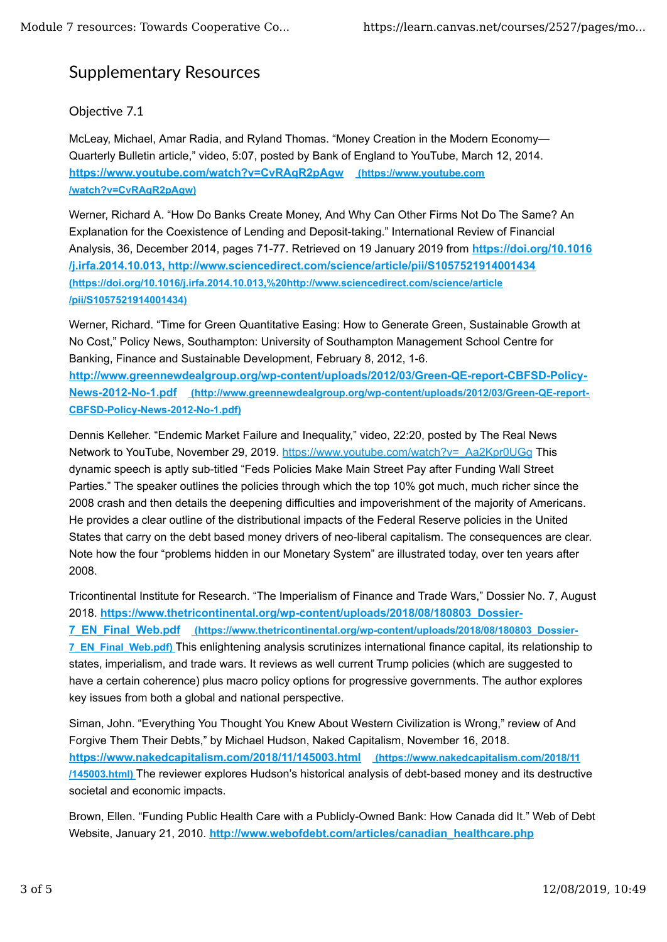# Supplementary Resources

# Objective 7.1

McLeay, Michael, Amar Radia, and Ryland Thomas. "Money Creation in the Modern Economy— Quarterly Bulletin article," video, 5:07, posted by Bank of England to YouTube, March 12, 2014. **https://www.youtube.com/watch?v=CvRAqR2pAgw (https://www.youtube.com /watch?v=CvRAqR2pAgw)**

Werner, Richard A. "How Do Banks Create Money, And Why Can Other Firms Not Do The Same? An Explanation for the Coexistence of Lending and Deposit-taking." International Review of Financial Analysis, 36, December 2014, pages 71-77. Retrieved on 19 January 2019 from **https://doi.org/10.1016 /j.irfa.2014.10.013, http://www.sciencedirect.com/science/article/pii/S1057521914001434 (https://doi.org/10.1016/j.irfa.2014.10.013,%20http://www.sciencedirect.com/science/article /pii/S1057521914001434)**

Werner, Richard. "Time for Green Quantitative Easing: How to Generate Green, Sustainable Growth at No Cost," Policy News, Southampton: University of Southampton Management School Centre for Banking, Finance and Sustainable Development, February 8, 2012, 1-6. **http://www.greennewdealgroup.org/wp-content/uploads/2012/03/Green-QE-report-CBFSD-Policy-News-2012-No-1.pdf (http://www.greennewdealgroup.org/wp-content/uploads/2012/03/Green-QE-report-CBFSD-Policy-News-2012-No-1.pdf)**

Dennis Kelleher. "Endemic Market Failure and Inequality," video, 22:20, posted by The Real News Network to YouTube, November 29, 2019. https://www.youtube.com/watch?v=\_Aa2Kpr0UGg This dynamic speech is aptly sub-titled "Feds Policies Make Main Street Pay after Funding Wall Street Parties." The speaker outlines the policies through which the top 10% got much, much richer since the 2008 crash and then details the deepening difficulties and impoverishment of the majority of Americans. He provides a clear outline of the distributional impacts of the Federal Reserve policies in the United States that carry on the debt based money drivers of neo-liberal capitalism. The consequences are clear. Note how the four "problems hidden in our Monetary System" are illustrated today, over ten years after 2008.

Tricontinental Institute for Research. "The Imperialism of Finance and Trade Wars," Dossier No. 7, August 2018. **https://www.thetricontinental.org/wp-content/uploads/2018/08/180803\_Dossier-7\_EN\_Final\_Web.pdf (https://www.thetricontinental.org/wp-content/uploads/2018/08/180803\_Dossier-7\_EN\_Final\_Web.pdf)** This enlightening analysis scrutinizes international finance capital, its relationship to states, imperialism, and trade wars. It reviews as well current Trump policies (which are suggested to have a certain coherence) plus macro policy options for progressive governments. The author explores key issues from both a global and national perspective.

Siman, John. "Everything You Thought You Knew About Western Civilization is Wrong," review of And Forgive Them Their Debts," by Michael Hudson, Naked Capitalism, November 16, 2018. **https://www.nakedcapitalism.com/2018/11/145003.html (https://www.nakedcapitalism.com/2018/11 /145003.html)** The reviewer explores Hudson's historical analysis of debt-based money and its destructive societal and economic impacts.

Brown, Ellen. "Funding Public Health Care with a Publicly-Owned Bank: How Canada did It." Web of Debt Website, January 21, 2010. **http://www.webofdebt.com/articles/canadian\_healthcare.php**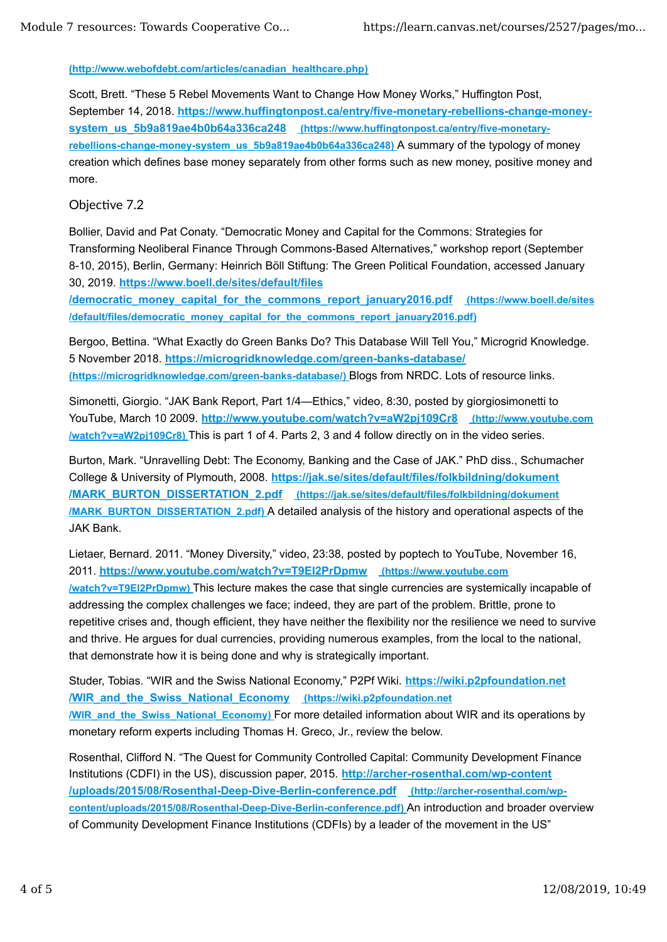#### **(http://www.webofdebt.com/articles/canadian\_healthcare.php)**

Scott, Brett. "These 5 Rebel Movements Want to Change How Money Works," Huffington Post, September 14, 2018. **https://www.huffingtonpost.ca/entry/five-monetary-rebellions-change-money**system\_us\_5b9a819ae4b0b64a336ca248 (https://www.huffingtonpost.ca/entry/five-monetary**rebellions-change-money-system\_us\_5b9a819ae4b0b64a336ca248)** A summary of the typology of money creation which defines base money separately from other forms such as new money, positive money and more.

### Objective 7.2

Bollier, David and Pat Conaty. "Democratic Money and Capital for the Commons: Strategies for Transforming Neoliberal Finance Through Commons-Based Alternatives," workshop report (September 8-10, 2015), Berlin, Germany: Heinrich Böll Stiftung: The Green Political Foundation, accessed January 30, 2019. **https://www.boell.de/sites/default/files**

**/democratic\_money\_capital\_for\_the\_commons\_report\_january2016.pdf (https://www.boell.de/sites /default/files/democratic\_money\_capital\_for\_the\_commons\_report\_january2016.pdf)**

Bergoo, Bettina. "What Exactly do Green Banks Do? This Database Will Tell You," Microgrid Knowledge. 5 November 2018. **https://microgridknowledge.com/green-banks-database/ (https://microgridknowledge.com/green-banks-database/)** Blogs from NRDC. Lots of resource links.

Simonetti, Giorgio. "JAK Bank Report, Part 1/4—Ethics," video, 8:30, posted by giorgiosimonetti to YouTube, March 10 2009. **http://www.youtube.com/watch?v=aW2pj109Cr8 (http://www.youtube.com /watch?v=aW2pj109Cr8)** This is part 1 of 4. Parts 2, 3 and 4 follow directly on in the video series.

Burton, Mark. "Unravelling Debt: The Economy, Banking and the Case of JAK." PhD diss., Schumacher College & University of Plymouth, 2008. **https://jak.se/sites/default/files/folkbildning/dokument /MARK\_BURTON\_DISSERTATION\_2.pdf (https://jak.se/sites/default/files/folkbildning/dokument /MARK\_BURTON\_DISSERTATION\_2.pdf)** A detailed analysis of the history and operational aspects of the JAK Bank.

Lietaer, Bernard. 2011. "Money Diversity," video, 23:38, posted by poptech to YouTube, November 16, 2011. **https://www.youtube.com/watch?v=T9EI2PrDpmw (https://www.youtube.com /watch?v=T9EI2PrDpmw)** This lecture makes the case that single currencies are systemically incapable of addressing the complex challenges we face; indeed, they are part of the problem. Brittle, prone to repetitive crises and, though efficient, they have neither the flexibility nor the resilience we need to survive and thrive. He argues for dual currencies, providing numerous examples, from the local to the national, that demonstrate how it is being done and why is strategically important.

Studer, Tobias. "WIR and the Swiss National Economy," P2Pf Wiki. **https://wiki.p2pfoundation.net /WIR\_and\_the\_Swiss\_National\_Economy (https://wiki.p2pfoundation.net /WIR\_and\_the\_Swiss\_National\_Economy)** For more detailed information about WIR and its operations by monetary reform experts including Thomas H. Greco, Jr., review the below.

Rosenthal, Clifford N. "The Quest for Community Controlled Capital: Community Development Finance Institutions (CDFI) in the US), discussion paper, 2015. **http://archer-rosenthal.com/wp-content /uploads/2015/08/Rosenthal-Deep-Dive-Berlin-conference.pdf (http://archer-rosenthal.com/wpcontent/uploads/2015/08/Rosenthal-Deep-Dive-Berlin-conference.pdf)** An introduction and broader overview of Community Development Finance Institutions (CDFIs) by a leader of the movement in the US"